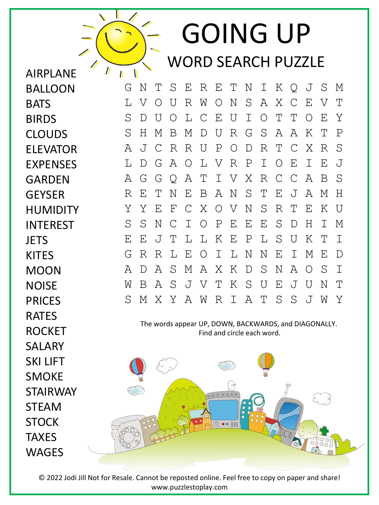GOING UP WORD SEARCH PUZZLE

G N T S E R E T N I K Q J S M L V O U R W O N S A X C E V T S D U O L C E U I O T T O E Y S H M B M D U R G S A A K T P A J C R R U P O D R T C X R S L D G A O L V R P I O E I E J A G G Q A T I V X R C C A B S R E T N E B A N S T E J A M H Y Y E F C X O V N S R T E K U S S N C I O P E E E S D H I M E E J T L L K E P L S U K T I G R R L E O I L N N E I M E D A D A S M A X K D S N A O S I W B A S J V T K S U E J U N T S M X Y A W R I A T S S J W Y

AIRPLANE

 $\prime\prime$ 

 $\mathsf{N}$  $\mathbf{u}$ 

BALLOON

**BATS** 

BIRDS

CLOUDS

ELEVATOR

EXPENSES

HUMIDITY

INTEREST

**JETS** 

KITES

MOON

**NOISE** 

PRICES

RATES

ROCKET

SALARY

SKI LIFT

SMOKE

STEAM

**STOCK** 

**TAXES** 

**WAGFS** 

STAIRWAY

GARDEN

**GFYSFR** 

The words appear UP, DOWN, BACKWARDS, and DIAGONALLY. Find and circle each word.



© 2022 Jodi Jill Not for Resale. Cannot be reposted online. Feel free to copy on paper and share! www.puzzlestoplay.com